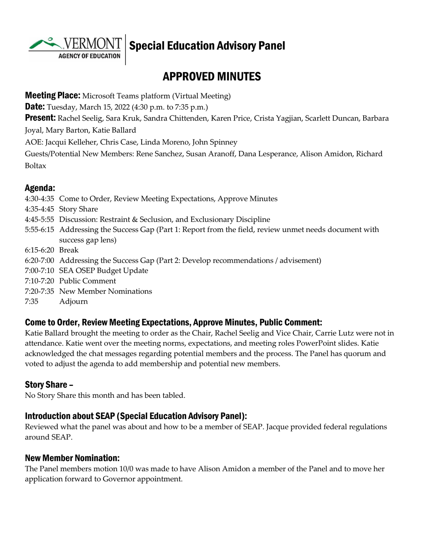

# Special Education Advisory Panel

# APPROVED MINUTES

**Meeting Place:** Microsoft Teams platform (Virtual Meeting) **Date:** Tuesday, March 15, 2022 (4:30 p.m. to 7:35 p.m.) **Present:** Rachel Seelig, Sara Kruk, Sandra Chittenden, Karen Price, Crista Yagjian, Scarlett Duncan, Barbara Joyal, Mary Barton, Katie Ballard AOE: Jacqui Kelleher, Chris Case, Linda Moreno, John Spinney Guests/Potential New Members: Rene Sanchez, Susan Aranoff, Dana Lesperance, Alison Amidon, Richard Boltax

#### Agenda:

4:30-4:35 Come to Order, Review Meeting Expectations, Approve Minutes 4:35-4:45 Story Share 4:45-5:55 Discussion: Restraint & Seclusion, and Exclusionary Discipline 5:55-6:15 Addressing the Success Gap (Part 1: Report from the field, review unmet needs document with success gap lens) 6:15-6:20 Break 6:20-7:00 Addressing the Success Gap (Part 2: Develop recommendations / advisement) 7:00-7:10 SEA OSEP Budget Update 7:10-7:20 Public Comment 7:20-7:35 New Member Nominations 7:35 Adjourn

#### Come to Order, Review Meeting Expectations, Approve Minutes, Public Comment:

Katie Ballard brought the meeting to order as the Chair, Rachel Seelig and Vice Chair, Carrie Lutz were not in attendance. Katie went over the meeting norms, expectations, and meeting roles PowerPoint slides. Katie acknowledged the chat messages regarding potential members and the process. The Panel has quorum and voted to adjust the agenda to add membership and potential new members.

### Story Share –

No Story Share this month and has been tabled.

#### Introduction about SEAP (Special Education Advisory Panel):

Reviewed what the panel was about and how to be a member of SEAP. Jacque provided federal regulations around SEAP.

#### New Member Nomination:

The Panel members motion 10/0 was made to have Alison Amidon a member of the Panel and to move her application forward to Governor appointment.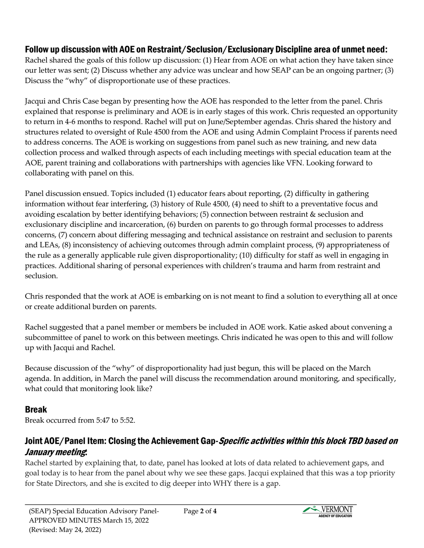# Follow up discussion with AOE on Restraint/Seclusion/Exclusionary Discipline area of unmet need:

Rachel shared the goals of this follow up discussion: (1) Hear from AOE on what action they have taken since our letter was sent; (2) Discuss whether any advice was unclear and how SEAP can be an ongoing partner; (3) Discuss the "why" of disproportionate use of these practices.

Jacqui and Chris Case began by presenting how the AOE has responded to the letter from the panel. Chris explained that response is preliminary and AOE is in early stages of this work. Chris requested an opportunity to return in 4-6 months to respond. Rachel will put on June/September agendas. Chris shared the history and structures related to oversight of Rule 4500 from the AOE and using Admin Complaint Process if parents need to address concerns. The AOE is working on suggestions from panel such as new training, and new data collection process and walked through aspects of each including meetings with special education team at the AOE, parent training and collaborations with partnerships with agencies like VFN. Looking forward to collaborating with panel on this.

Panel discussion ensued. Topics included (1) educator fears about reporting, (2) difficulty in gathering information without fear interfering, (3) history of Rule 4500, (4) need to shift to a preventative focus and avoiding escalation by better identifying behaviors; (5) connection between restraint & seclusion and exclusionary discipline and incarceration, (6) burden on parents to go through formal processes to address concerns, (7) concern about differing messaging and technical assistance on restraint and seclusion to parents and LEAs, (8) inconsistency of achieving outcomes through admin complaint process, (9) appropriateness of the rule as a generally applicable rule given disproportionality; (10) difficulty for staff as well in engaging in practices. Additional sharing of personal experiences with children's trauma and harm from restraint and seclusion.

Chris responded that the work at AOE is embarking on is not meant to find a solution to everything all at once or create additional burden on parents.

Rachel suggested that a panel member or members be included in AOE work. Katie asked about convening a subcommittee of panel to work on this between meetings. Chris indicated he was open to this and will follow up with Jacqui and Rachel.

Because discussion of the "why" of disproportionality had just begun, this will be placed on the March agenda. In addition, in March the panel will discuss the recommendation around monitoring, and specifically, what could that monitoring look like?

# Break

Break occurred from 5:47 to 5:52.

# Joint AOE/Panel Item: Closing the Achievement Gap-Specific activities within this block TBD based on January meeting:

Rachel started by explaining that, to date, panel has looked at lots of data related to achievement gaps, and goal today is to hear from the panel about why we see these gaps. Jacqui explained that this was a top priority for State Directors, and she is excited to dig deeper into WHY there is a gap.

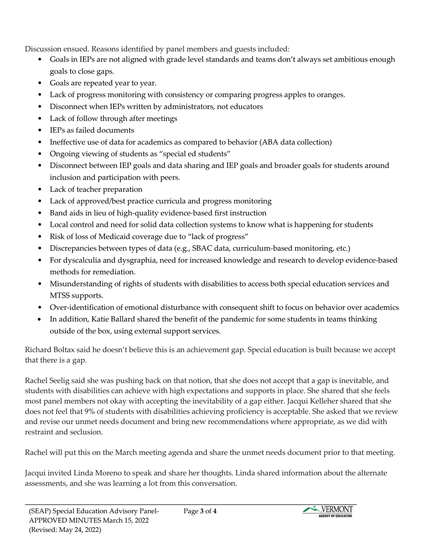Discussion ensued. Reasons identified by panel members and guests included:

- Goals in IEPs are not aligned with grade level standards and teams don't always set ambitious enough goals to close gaps.
- Goals are repeated year to year.
- Lack of progress monitoring with consistency or comparing progress apples to oranges.
- Disconnect when IEPs written by administrators, not educators
- Lack of follow through after meetings
- IEPs as failed documents
- Ineffective use of data for academics as compared to behavior (ABA data collection)
- Ongoing viewing of students as "special ed students"
- Disconnect between IEP goals and data sharing and IEP goals and broader goals for students around inclusion and participation with peers.
- Lack of teacher preparation
- Lack of approved/best practice curricula and progress monitoring
- Band aids in lieu of high-quality evidence-based first instruction
- Local control and need for solid data collection systems to know what is happening for students
- Risk of loss of Medicaid coverage due to "lack of progress"
- Discrepancies between types of data (e.g., SBAC data, curriculum-based monitoring, etc.)
- For dyscalculia and dysgraphia, need for increased knowledge and research to develop evidence-based methods for remediation.
- Misunderstanding of rights of students with disabilities to access both special education services and MTSS supports.
- Over-identification of emotional disturbance with consequent shift to focus on behavior over academics
- In addition, Katie Ballard shared the benefit of the pandemic for some students in teams thinking outside of the box, using external support services.

Richard Boltax said he doesn't believe this is an achievement gap. Special education is built because we accept that there is a gap.

Rachel Seelig said she was pushing back on that notion, that she does not accept that a gap is inevitable, and students with disabilities can achieve with high expectations and supports in place. She shared that she feels most panel members not okay with accepting the inevitability of a gap either. Jacqui Kelleher shared that she does not feel that 9% of students with disabilities achieving proficiency is acceptable. She asked that we review and revise our unmet needs document and bring new recommendations where appropriate, as we did with restraint and seclusion.

Rachel will put this on the March meeting agenda and share the unmet needs document prior to that meeting.

Jacqui invited Linda Moreno to speak and share her thoughts. Linda shared information about the alternate assessments, and she was learning a lot from this conversation.